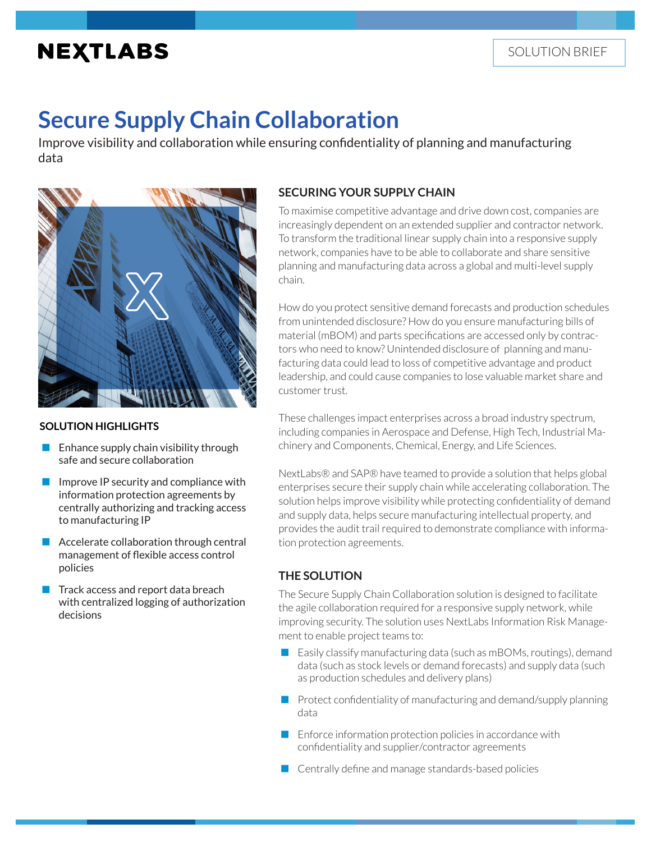## **NEXTLABS**

# **Secure Supply Chain Collaboration**

Improve visibility and collaboration while ensuring confidentiality of planning and manufacturing data



#### **SOLUTION HIGHLIGHTS**

- Enhance supply chain visibility through safe and secure collaboration
- Improve IP security and compliance with information protection agreements by centrally authorizing and tracking access to manufacturing IP
- **Accelerate collaboration through central** management of flexible access control policies
- $\blacksquare$  Track access and report data breach with centralized logging of authorization decisions

#### **SECURING YOUR SUPPLY CHAIN**

To maximise competitive advantage and drive down cost, companies are increasingly dependent on an extended supplier and contractor network. To transform the traditional linear supply chain into a responsive supply network, companies have to be able to collaborate and share sensitive planning and manufacturing data across a global and multi-level supply chain.

How do you protect sensitive demand forecasts and production schedules from unintended disclosure? How do you ensure manufacturing bills of material (mBOM) and parts specifications are accessed only by contractors who need to know? Unintended disclosure of planning and manufacturing data could lead to loss of competitive advantage and product leadership, and could cause companies to lose valuable market share and customer trust.

These challenges impact enterprises across a broad industry spectrum, including companies in Aerospace and Defense, High Tech, Industrial Machinery and Components, Chemical, Energy, and Life Sciences.

NextLabs® and SAP® have teamed to provide a solution that helps global enterprises secure their supply chain while accelerating collaboration. The solution helps improve visibility while protecting confidentiality of demand and supply data, helps secure manufacturing intellectual property, and provides the audit trail required to demonstrate compliance with information protection agreements.

## **THE SOLUTION**

The Secure Supply Chain Collaboration solution is designed to facilitate the agile collaboration required for a responsive supply network, while improving security. The solution uses NextLabs Information Risk Management to enable project teams to:

- Easily classify manufacturing data (such as mBOMs, routings), demand data (such as stock levels or demand forecasts) and supply data (such as production schedules and delivery plans)
- $\blacksquare$  Protect confidentiality of manufacturing and demand/supply planning data
- **Enforce information protection policies in accordance with** confidentiality and supplier/contractor agreements
- **Centrally define and manage standards-based policies**